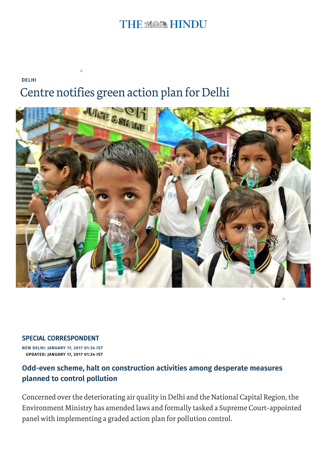## THE MARK HINDU

[DELHI](http://www.thehindu.com/news/cities/Delhi/)

# Centre notifies green action plan for Delhi

×



×

#### SPECIAL CORRESPONDENT

NEW DELHI: JANUARY 17, 2017 01:34 IST UPDATED: JANUARY 17, 2017 01:34 IST

#### Odd-even scheme, halt on construction activities among desperate measures planned to control pollution

Concerned over the deteriorating air quality in Delhi and the National Capital Region, the Environment Ministry has amended laws and formally tasked a Supreme Court-appointed panel with implementing a graded action plan for pollution control.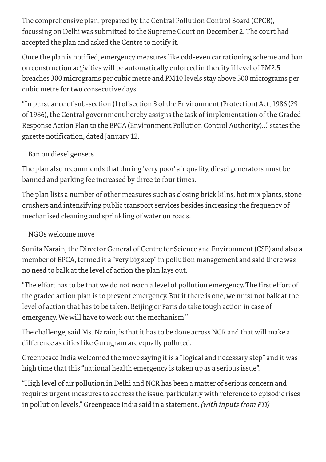The comprehensive plan, prepared by the Central Pollution Control Board (CPCB), focussing on Delhi was submitted to the Supreme Court on December 2. The court had accepted the plan and asked the Centre to notify it.

Once the plan is notified, emergency measures like odd-even carrationing scheme and ban on construction a $\mathfrak{c}^\star_\times$ vities will be automatically enforced in the city if level of PM2.5 breaches 300 micrograms per cubic metre and PM10 levels stay above 500 micrograms per cubic metre for two consecutive days.

"In pursuance of sub-section (1) of section 3 of the Environment (Protection) Act, 1986 (29 of 1986), the Central government hereby assigns the task of implementation of the Graded Response Action Plan to the EPCA (Environment Pollution Control Authority)..." states the gazette notification, dated January 12.

### Ban on diesel gensets

The plan also recommends that during 'very poor' air quality, diesel generators must be banned and parking fee increased by three to four times.

The plan lists a number of other measures such as closing brick kilns, hot mix plants, stone crushers and intensifying public transport services besides increasing the frequency of mechanised cleaning and sprinkling of water on roads.

#### NGOs welcome move

Sunita Narain, the Director General of Centre for Science and Environment (CSE) and also a member of EPCA, termed it a "very big step" in pollution management and said there was no need to balk at the level of action the plan lays out.

"The effort has to be that we do notreach a level of pollution emergency. The first effort of the graded action plan is to prevent emergency. But if there is one, we must not balk at the level of action that has to be taken. Beijing or Paris do take tough action in case of emergency. We will have to work out the mechanism."

The challenge, said Ms. Narain, is that it has to be done across NCR and that will make a difference as cities like Gurugram are equally polluted.

Greenpeace India welcomed the move saying it is a "logical and necessary step" and it was high time that this "national health emergency is taken up as a serious issue".

"High level of air pollution in Delhi and NCR has been a matter of serious concern and requires urgent measures to address the issue, particularly with reference to episodic rises in pollution levels," Greenpeace India said in a statement. (with inputs from PTI)